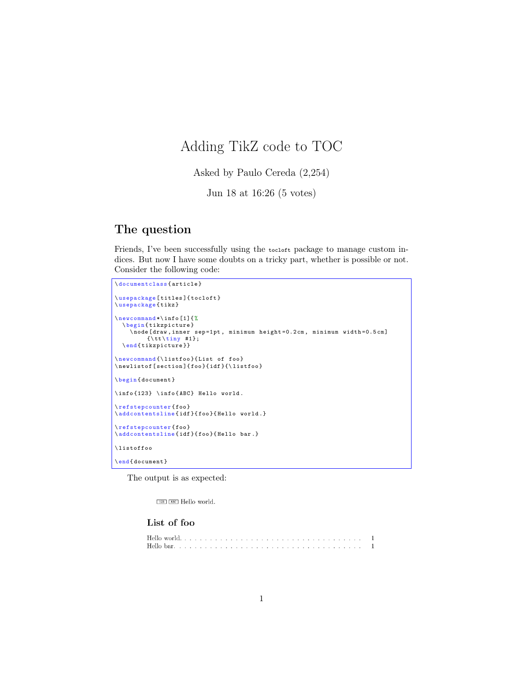# Adding TikZ code to TOC

Asked by Paulo Cereda (2,254)

Jun 18 at 16:26 (5 votes)

## The question

Friends, I've been successfully using the tocloft package to manage custom indices. But now I have some doubts on a tricky part, whether is possible or not. Consider the following code:

```
\documentclass { article }
\ usepackage [ titles ]{ tocloft }
\ usepackage { tikz }
\ newcommand *\ info [1]{ %
  \ begin { tikzpicture }
    \ node [ draw , inner sep =1 pt , minimum height =0.2 cm , minimum width =0.5 cm ]
   {\ tt \ tiny #1};
\ end { tikzpicture }}
\newcommand{\listfoo}{List of foo}
\neq listof [section]{foo}{idf}{\listfoo}
\ begin { document }
\ info {123} \ info { ABC } Hello world .
\ refstepcounter { foo }
\addcontentsline { idf } { foo } {Hello world . }
\ refstepcounter { foo }
\addcontentsline {idf}{foo}{Hello bar.}
\ listoffoo
\end {document }
```
The output is as expected:

 $123$   $ABC$  Hello world.

### List of foo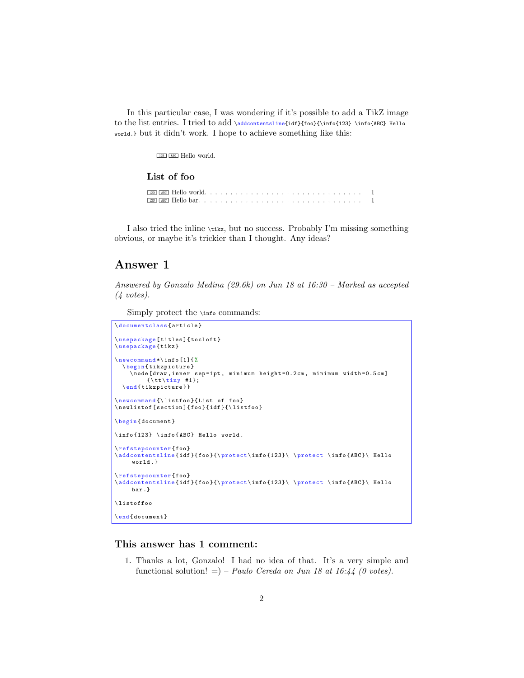In this particular case, I was wondering if it's possible to add a TikZ image to the list entries. I tried to add \addcontentsline{idf}{foo}{\info{123} \info{ABC} Hello world.} but it didn't work. I hope to achieve something like this:

 $123$   $ABC$  Hello world.

#### List of foo

I also tried the inline \tikz, but no success. Probably I'm missing something obvious, or maybe it's trickier than I thought. Any ideas?

### Answer 1

Answered by Gonzalo Medina (29.6k) on Jun 18 at 16:30 – Marked as accepted  $(4 \text{ votes}).$ 

Simply protect the \info commands:

```
\documentclass { article }
\ usepackage [ titles ]{ tocloft }
\ usepackage { tikz }
\ newcommand *\ info [1]{ %
  \ begin { tikzpicture }
    \node [draw, inner sep=1pt, minimum height=0.2cm, minimum width=0.5cm]
          {\ tt \ tiny #1};
  \ end { tikzpicture }}
\newcommand{\listfoo}{List of foo}
\ne listof [section]{foo}{idf}{\listfoo}
\ begin { document }
\ info {123} \ info { ABC } Hello world .
\ refstepcounter { foo }
\verb+\addcontentsline{if}{foot{\t{123}} \ \}rotect \ \in {\texttt{ABC}} \ \ Helloworld .}
\ refstepcounter { foo }
\verb+\addcontentsline{ [idf]{foot{ \texttt{for} {123} \ \} } \ {{\color{red} {protest} \ info{ABC}} \ \ }bar .}
\ listoffoo
\ end { document }
```
#### This answer has 1 comment:

1. Thanks a lot, Gonzalo! I had no idea of that. It's a very simple and functional solution!  $=$ ) – Paulo Cereda on Jun 18 at 16:44 (0 votes).